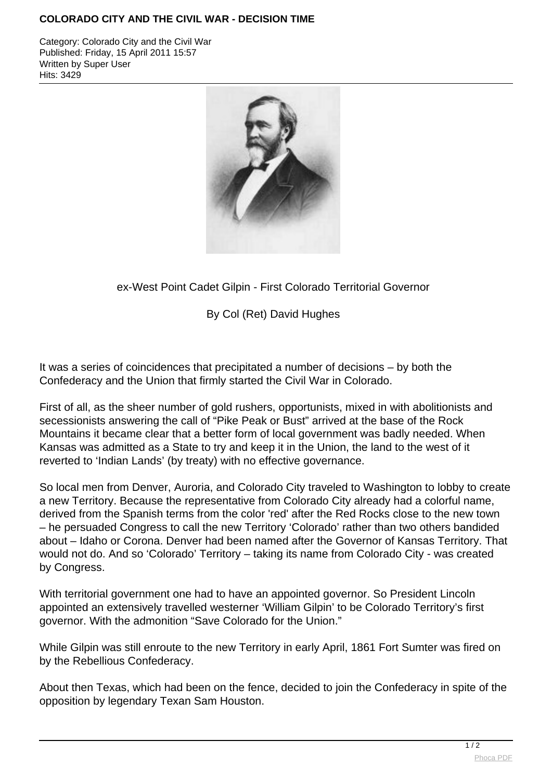## **COLORADO CITY AND THE CIVIL WAR - DECISION TIME**

Category: Colorado City and the Civil War Published: Friday, 15 April 2011 15:57 Written by Super User Hits: 3429



## ex-West Point Cadet Gilpin - First Colorado Territorial Governor

By Col (Ret) David Hughes

It was a series of coincidences that precipitated a number of decisions – by both the Confederacy and the Union that firmly started the Civil War in Colorado.

First of all, as the sheer number of gold rushers, opportunists, mixed in with abolitionists and secessionists answering the call of "Pike Peak or Bust" arrived at the base of the Rock Mountains it became clear that a better form of local government was badly needed. When Kansas was admitted as a State to try and keep it in the Union, the land to the west of it reverted to 'Indian Lands' (by treaty) with no effective governance.

So local men from Denver, Auroria, and Colorado City traveled to Washington to lobby to create a new Territory. Because the representative from Colorado City already had a colorful name, derived from the Spanish terms from the color 'red' after the Red Rocks close to the new town – he persuaded Congress to call the new Territory 'Colorado' rather than two others bandided about – Idaho or Corona. Denver had been named after the Governor of Kansas Territory. That would not do. And so 'Colorado' Territory – taking its name from Colorado City - was created by Congress.

With territorial government one had to have an appointed governor. So President Lincoln appointed an extensively travelled westerner 'William Gilpin' to be Colorado Territory's first governor. With the admonition "Save Colorado for the Union."

While Gilpin was still enroute to the new Territory in early April, 1861 Fort Sumter was fired on by the Rebellious Confederacy.

About then Texas, which had been on the fence, decided to join the Confederacy in spite of the opposition by legendary Texan Sam Houston.